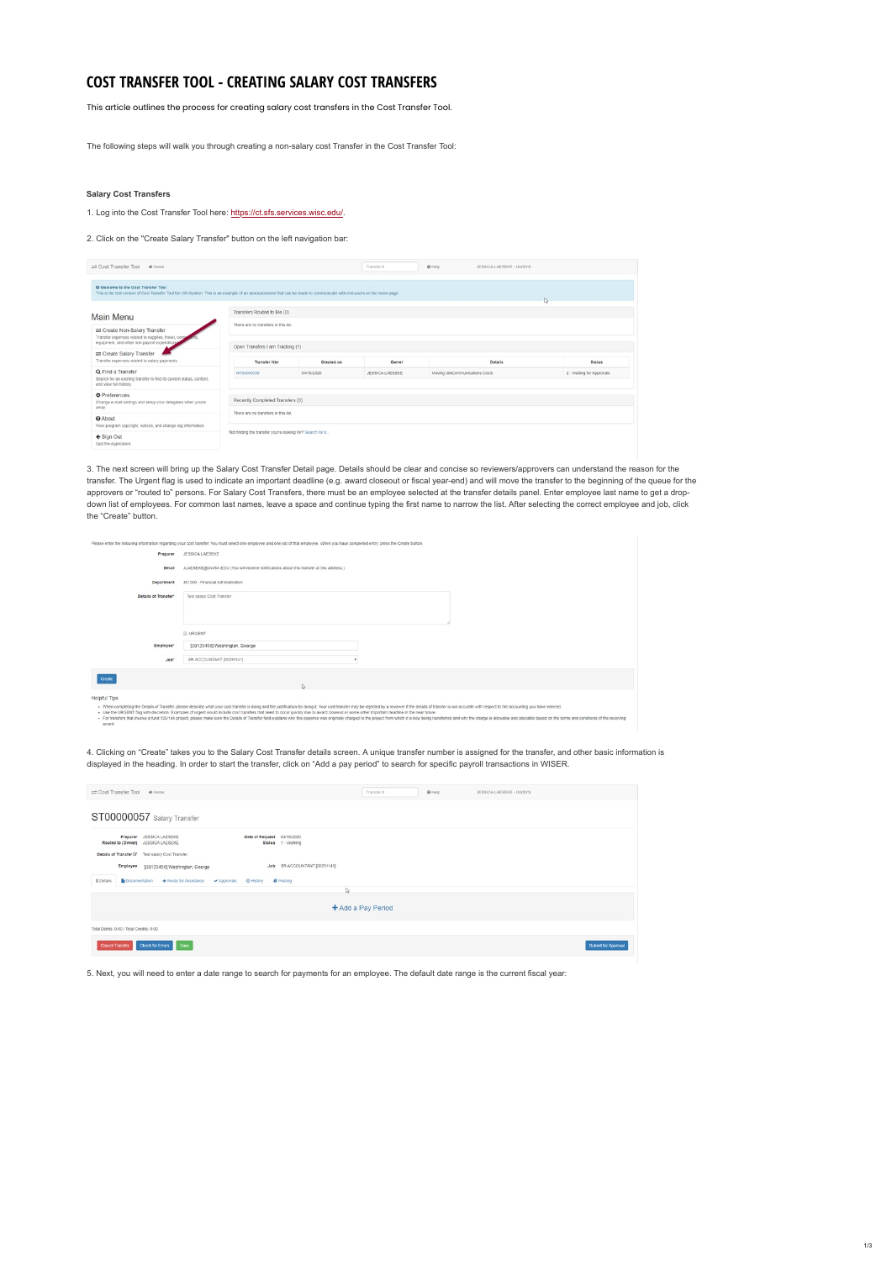## **COST TRANSFER TOOL - CREATING SALARY COST TRANSFERS**

This article outlines the process for creating salary cost transfers in the Cost Transfer Tool.

The following steps will walk you through creating a non-salary cost Transfer in the Cost Transfer Tool:

## **Salary Cost Transfers**

1. Log into the Cost Transfer Tool here: <https://ct.sfs.services.wisc.edu/>.

2. Click on the "Create Salary Transfer" button on the left navigation bar:

| ≡ Cost Transfer Tool<br># Home                                                                                                                                                                              |                                                            |                                  | Transfer #      | @ Help                          | JESSICA LAESEKE - UWSYS |  |                           |  |
|-------------------------------------------------------------------------------------------------------------------------------------------------------------------------------------------------------------|------------------------------------------------------------|----------------------------------|-----------------|---------------------------------|-------------------------|--|---------------------------|--|
| O Welcome to the Cost Transfer Tool<br>This is the test version of Cost Transfer Tool for UW-System. This is an example of an announcement that can be made to communicate with end-users on the home page. |                                                            |                                  |                 |                                 |                         |  |                           |  |
| Main Menu                                                                                                                                                                                                   | Transfers Routed to Me (0)                                 |                                  |                 |                                 |                         |  |                           |  |
| = Create Non-Salary Transfer<br>Transfer expenses related to supplies, travel, cons<br>equipment, and other non-payroll expenditure                                                                         | There are no transfers in this list.                       |                                  |                 |                                 |                         |  |                           |  |
| Create Salary Transfer<br>Transfer expenses related to salary payments.                                                                                                                                     | Open Transfers I am Tracking (1)<br>Transfer Nbr           | Created on                       | Owner           |                                 | <b>Details</b>          |  | <b>Status</b>             |  |
| Q Find a Transfer<br>Search for an existing transfer to find its current status, content,<br>and view full history.                                                                                         | NT00000056                                                 | 04/15/2020                       | JESSICA LAESEKE | Moving telecommunications Costs |                         |  | 2 - Waiting for Approvals |  |
| <b>O</b> Preferences<br>Change e-mail settings and setup your delegates when you're<br>away.                                                                                                                |                                                            | Recently Completed Transfers (0) |                 |                                 |                         |  |                           |  |
| <b>Q</b> About<br>View program copyright, notices, and change log information.                                                                                                                              | There are no transfers in this list.                       |                                  |                 |                                 |                         |  |                           |  |
| ← Sign Out<br>Quit the Application.                                                                                                                                                                         | Not finding the transfer you're looking for? Search for it |                                  |                 |                                 |                         |  |                           |  |

3. The next screen will bring up the Salary Cost Transfer Detail page. Details should be clear and concise so reviewers/approvers can understand the reason for the transfer. The Urgent flag is used to indicate an important deadline (e.g. award closeout or fiscal year-end) and will move the transfer to the beginning of the queue for the approvers or "routed to" persons. For Salary Cost Transfers, there must be an employee selected at the transfer details panel. Enter employee last name to get a dropdown list of employees. For common last names, leave a space and continue typing the first name to narrow the list. After selecting the correct employee and job, click the "Create" button.

|                      | Please enter the following information regarding your cost transfer. You must select one employee and one job of that employee. When you have completed entry, press the Create button. |
|----------------------|-----------------------------------------------------------------------------------------------------------------------------------------------------------------------------------------|
| Preparer             | JESSICA LAESEKE                                                                                                                                                                         |
| Email                | JLAESEKE@UWSA.EDU (You will receive notifications about this transfer at this address.)                                                                                                 |
| Department           | 401000 - Financial Administration                                                                                                                                                       |
| Details of Transfer" | Test salary Cost Transfer                                                                                                                                                               |
|                      |                                                                                                                                                                                         |
|                      | <b>URGENT</b>                                                                                                                                                                           |
| Employee*            | [00123456] Washington, George                                                                                                                                                           |
| $Job*$               | SR ACCOUNTANT [00291141]                                                                                                                                                                |
|                      |                                                                                                                                                                                         |

| Create                                                                                                                                                                                                                        |                                                                                                                                                                                                                                                                                                                                                                                                                                                                 |
|-------------------------------------------------------------------------------------------------------------------------------------------------------------------------------------------------------------------------------|-----------------------------------------------------------------------------------------------------------------------------------------------------------------------------------------------------------------------------------------------------------------------------------------------------------------------------------------------------------------------------------------------------------------------------------------------------------------|
| <b>Helpful Tips</b><br>. Use the URGENT flag with discretion. Examples of urgent would include cost transfers that need to occur quickly due to award closeout or some other important deadline in the near future.<br>award. | . When completing the Details of Transfer, please describe what your cost transfer is doing and the justification for doing it. Your cost transfer may be rejected by a reviewer if the details of transfer in not accurate wi<br>- For transfers that involve a fund 133/144 project, please make sure the Details of Transfer field explains why this expense was originally charged to the project from which it is now being transferred and why the charge |

4. Clicking on "Create" takes you to the Salary Cost Transfer details screen. A unique transfer number is assigned for the transfer, and other basic information is displayed in the heading. In order to start the transfer, click on "Add a pay period" to search for specific payroll transactions in WISER.

| Cost Transfer Tool # Home                                                                                                                                                  | Transfer # | <b>O</b> Help | JESSICA LAESEKE - UWSYS |  |  |  |  |
|----------------------------------------------------------------------------------------------------------------------------------------------------------------------------|------------|---------------|-------------------------|--|--|--|--|
| ST00000057 Salary Transfer                                                                                                                                                 |            |               |                         |  |  |  |  |
| Preparer JESSICA LAESEKE<br>Date of Request 04/16/2020<br>Routed to (Owner) JESSICA LAESEKE<br>Status 1 - Working<br>Details of Transfer & Test salary Cost Transfer       |            |               |                         |  |  |  |  |
| Job SR ACCOUNTANT [00291141]<br>Employee [00123456] Washington, George<br>\$ Details<br>■ Documentation → Route for Assistance<br>✔ Approvals<br>CHistory <b>P</b> Posting |            |               |                         |  |  |  |  |
| ₽                                                                                                                                                                          |            |               |                         |  |  |  |  |
| + Add a Pay Period                                                                                                                                                         |            |               |                         |  |  |  |  |
| Total Debits: 0.00   Total Credits: 0.00                                                                                                                                   |            |               |                         |  |  |  |  |
| Check for Errors Save<br><b>Cancel Transfer</b>                                                                                                                            |            |               | Submit for Approval     |  |  |  |  |

5. Next, you will need to enter a date range to search for payments for an employee. The default date range is the current fiscal year: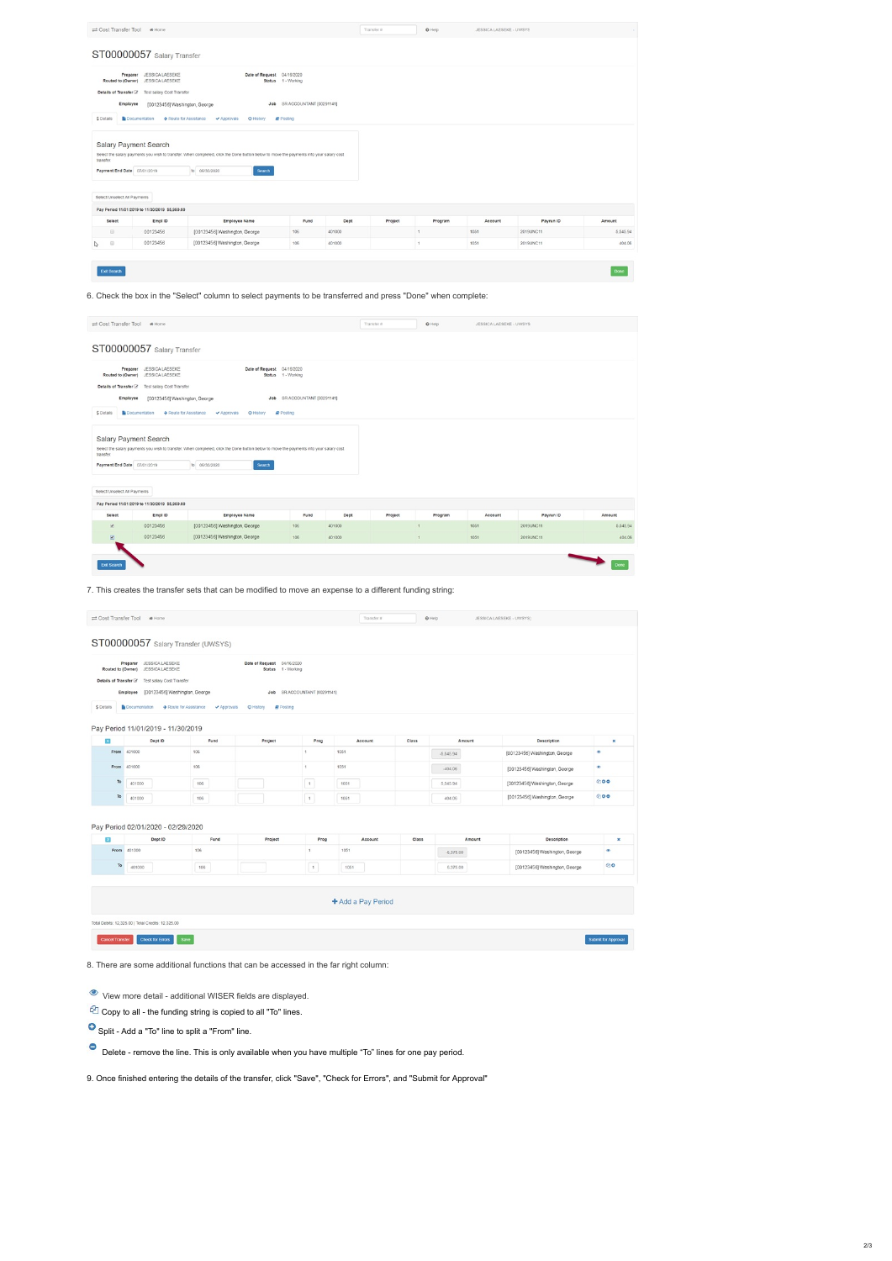|                                                                          | Cost Transfer Tool # Home                                                                                                          |                                                                                                                                                                    |                                                           |        | Transfer # | O Help  | JESSICA LAESEKE - UWSYS |           |          |
|--------------------------------------------------------------------------|------------------------------------------------------------------------------------------------------------------------------------|--------------------------------------------------------------------------------------------------------------------------------------------------------------------|-----------------------------------------------------------|--------|------------|---------|-------------------------|-----------|----------|
|                                                                          | ST00000057 Salary Transfer                                                                                                         |                                                                                                                                                                    |                                                           |        |            |         |                         |           |          |
| Employee<br>\$ Details                                                   | Preparer JESSICA LAESEKE<br>Routed to (Owner) JESSICA LAESEKE<br>Details of Transfer IZ Test salary Cost Transfer<br>Documentation | Date of Request 04/16/2020<br>Job<br>[00123456] Washington, George.<br>Route for Assistance<br>Approvals<br>C History                                              | Status 1 - Working<br>SR ACCOUNTANT [00291141]<br>Posting |        |            |         |                         |           |          |
| transfer.<br>Payment End Date 07/01/2019<br>Select/Unselect All Payments | Salary Payment Search                                                                                                              | Select the salary payments you wish to transfer. When completed, click the Done button below to move the payments into your salary cost<br>to 06/30/2020<br>Search |                                                           |        |            |         |                         |           |          |
|                                                                          | Pay Period 11/01/2019 to 11/30/2019 \$5,950.00                                                                                     |                                                                                                                                                                    |                                                           |        |            |         |                         |           |          |
| Select                                                                   | Empl ID                                                                                                                            | <b>Employee Name</b>                                                                                                                                               | Fund                                                      | Dept   | Project    | Program | Account                 | Payrun ID | Amount   |
|                                                                          |                                                                                                                                    |                                                                                                                                                                    |                                                           |        |            |         |                         |           |          |
| $\qquad \qquad \boxdot$                                                  | 00123456                                                                                                                           | [00123456] Washington, George                                                                                                                                      | 106                                                       | 401000 |            |         | 1051                    | 2019UNC11 | 5,545.94 |

6. Check the box in the "Select" column to select payments to be transferred and press "Done" when complete:

| Cost Transfer Tool # Home                                                |                                                                                                                                                                                   | Transfer #<br>O Help<br>JESSICA LAESEKE - UWSYS                                                                                                                    |                          |        |         |               |         |           |         |  |  |
|--------------------------------------------------------------------------|-----------------------------------------------------------------------------------------------------------------------------------------------------------------------------------|--------------------------------------------------------------------------------------------------------------------------------------------------------------------|--------------------------|--------|---------|---------------|---------|-----------|---------|--|--|
|                                                                          | ST00000057 Salary Transfer                                                                                                                                                        |                                                                                                                                                                    |                          |        |         |               |         |           |         |  |  |
| Preparer<br>Employee<br>\$ Details                                       | JESSICA LAESEKE<br>Routed to (Owner) JESSICA LAESEKE<br>Details of Transfer & Test salary Cost Transfer<br>[00123456] Washington, George<br>Documentation<br>Route for Assistance | Date of Request 04/16/2020<br>Status 1 - Working<br>Job<br>Approvals<br>Posting<br>C History                                                                       | SR ACCOUNTANT [00291141] |        |         |               |         |           |         |  |  |
| transfer.<br>Payment End Date 07/01/2019<br>Select/Unselect All Payments | Salary Payment Search                                                                                                                                                             | Select the salary payments you wish to transfer. When completed, click the Done button below to move the payments into your salary cost<br>to 06/30/2020<br>Search |                          |        |         |               |         |           |         |  |  |
|                                                                          | Pay Period 11/01/2019 to 11/30/2019 \$5,950.00                                                                                                                                    |                                                                                                                                                                    |                          |        |         |               |         |           |         |  |  |
| Select                                                                   | Empl ID                                                                                                                                                                           | <b>Employee Name</b>                                                                                                                                               | Fund                     | Dept   | Project | Program       | Account | Payrun ID | Amount  |  |  |
| ×                                                                        | 00123456                                                                                                                                                                          | [00123456] Washington, George                                                                                                                                      | 106                      | 401000 |         | $\mathcal{A}$ | 1051    | 2019UNC11 | 5,545.9 |  |  |
| ⊠                                                                        | 00123456                                                                                                                                                                          | [00123456] Washington, George                                                                                                                                      | 106                      | 401000 |         | $\mathbf{1}$  | 1051    | 2019UNC11 | 404.0   |  |  |
| <b>Exit Search</b>                                                       |                                                                                                                                                                                   |                                                                                                                                                                    |                          |        |         |               |         |           | Done    |  |  |

7. This creates the transfer sets that can be modified to move an expense to a different funding string:

| \$ Details<br>■ Documentation → Route for Assistance → Approvals<br>C History<br><b>Posting</b><br>Pay Period 11/01/2019 - 11/30/2019<br>Fund<br>o<br>Dept ID<br>Project<br>Prog<br>Account<br>Class<br>Amount<br>Description |                            |
|-------------------------------------------------------------------------------------------------------------------------------------------------------------------------------------------------------------------------------|----------------------------|
|                                                                                                                                                                                                                               |                            |
| From 401000<br>106<br>1051<br>1<br>[00123456] Washington, George<br>$-5,545.94$                                                                                                                                               | ×<br>۰                     |
| 1051<br>106<br>$\mathbf{1}$<br>From 401000<br>$-404.06$<br>[00123456] Washington, George                                                                                                                                      | ۰                          |
| To<br>1<br>106<br>1051<br>5,545.94<br>401000<br>[00123456] Washington, George                                                                                                                                                 | 200                        |
| To<br>[00123456] Washington, George<br>$\vert$ 1<br>401000<br>106<br>1051<br>404.06                                                                                                                                           | 200                        |
| Pay Period 02/01/2020 - 02/29/2020<br>Class<br>Ð<br>Dept ID<br>Fund<br>Project<br>Prog<br>Account<br>Amount<br>106<br>1051<br>401000<br>From<br>$\mathbf{1}$<br>[00123456] Washington, George<br>$-6,375.00$<br>To            | Description<br>×<br>۰<br>ව |
| 106<br>1<br>401000<br>1051<br>6,375.00<br>[00123456] Washington, George<br>+ Add a Pay Period                                                                                                                                 |                            |

8. There are some additional functions that can be accessed in the far right column:

**C** View more detail - additional WISER fields are displayed.

| Copy to all - the funding string is copied to all "To" lines |  |  |  |  |  |
|--------------------------------------------------------------|--|--|--|--|--|
|                                                              |  |  |  |  |  |

Split - Add a "To" line to split a "From" line.

Delete - remove the line. This is only available when you have multiple "To" lines for one pay period.

9. Once finished entering the details of the transfer, click "Save", "Check for Errors", and "Submit for Approval"